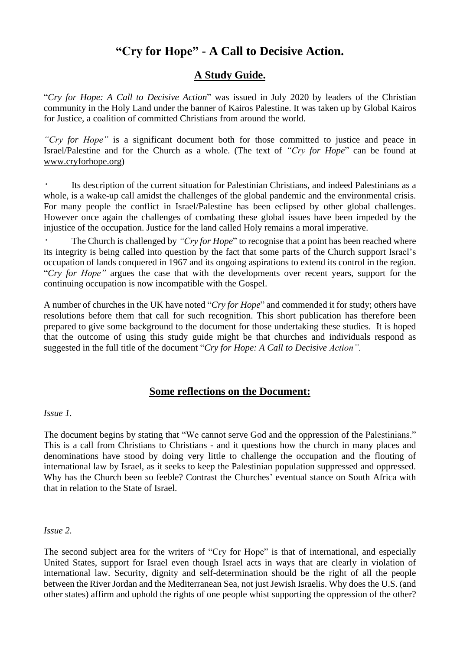# **"Cry for Hope" - A Call to Decisive Action.**

# **A Study Guide.**

"*Cry for Hope: A Call to Decisive Action*" was issued in July 2020 by leaders of the Christian community in the Holy Land under the banner of Kairos Palestine. It was taken up by Global Kairos for Justice, a coalition of committed Christians from around the world.

*"Cry for Hope"* is a significant document both for those committed to justice and peace in Israel/Palestine and for the Church as a whole. (The text of *"Cry for Hope*" can be found at [www.cryforhope.org\)](http://www.cryforhope.org/)

Its description of the current situation for Palestinian Christians, and indeed Palestinians as a whole, is a wake-up call amidst the challenges of the global pandemic and the environmental crisis. For many people the conflict in Israel/Palestine has been eclipsed by other global challenges. However once again the challenges of combating these global issues have been impeded by the injustice of the occupation. Justice for the land called Holy remains a moral imperative.

• The Church is challenged by *"Cry for Hope*" to recognise that a point has been reached where its integrity is being called into question by the fact that some parts of the Church support Israel's occupation of lands conquered in 1967 and its ongoing aspirations to extend its control in the region. "*Cry for Hope"* argues the case that with the developments over recent years, support for the continuing occupation is now incompatible with the Gospel.

A number of churches in the UK have noted "*Cry for Hope*" and commended it for study; others have resolutions before them that call for such recognition. This short publication has therefore been prepared to give some background to the document for those undertaking these studies. It is hoped that the outcome of using this study guide might be that churches and individuals respond as suggested in the full title of the document "*Cry for Hope: A Call to Decisive Action".*

# **Some reflections on the Document:**

*Issue 1.*

The document begins by stating that "We cannot serve God and the oppression of the Palestinians." This is a call from Christians to Christians - and it questions how the church in many places and denominations have stood by doing very little to challenge the occupation and the flouting of international law by Israel, as it seeks to keep the Palestinian population suppressed and oppressed. Why has the Church been so feeble? Contrast the Churches' eventual stance on South Africa with that in relation to the State of Israel.

*Issue 2.*

The second subject area for the writers of "Cry for Hope" is that of international, and especially United States, support for Israel even though Israel acts in ways that are clearly in violation of international law. Security, dignity and self-determination should be the right of all the people between the River Jordan and the Mediterranean Sea, not just Jewish Israelis. Why does the U.S. (and other states) affirm and uphold the rights of one people whist supporting the oppression of the other?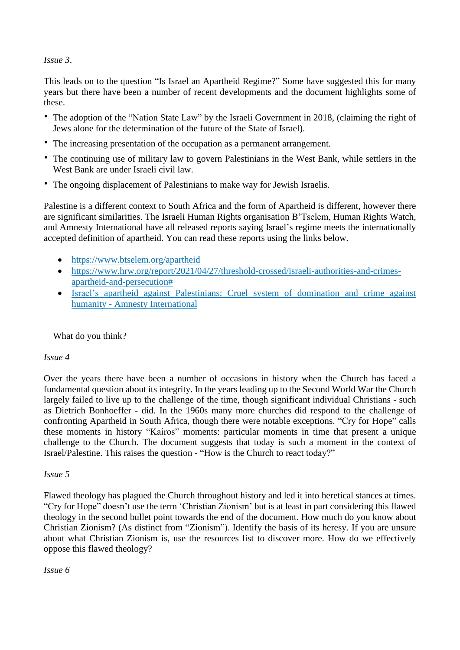#### *Issue 3*.

This leads on to the question "Is Israel an Apartheid Regime?" Some have suggested this for many years but there have been a number of recent developments and the document highlights some of these.

- The adoption of the "Nation State Law" by the Israeli Government in 2018, (claiming the right of Jews alone for the determination of the future of the State of Israel).
- The increasing presentation of the occupation as a permanent arrangement.
- The continuing use of military law to govern Palestinians in the West Bank, while settlers in the West Bank are under Israeli civil law.
- The ongoing displacement of Palestinians to make way for Jewish Israelis.

Palestine is a different context to South Africa and the form of Apartheid is different, however there are significant similarities. The Israeli Human Rights organisation B'Tselem, Human Rights Watch, and Amnesty International have all released reports saying Israel's regime meets the internationally accepted definition of apartheid. You can read these reports using the links below.

- <https://www.btselem.org/apartheid>
- [https://www.hrw.org/report/2021/04/27/threshold-crossed/israeli-authorities-and-crimes](https://www.hrw.org/report/2021/04/27/threshold-crossed/israeli-authorities-and-crimes-apartheid-and-persecution)[apartheid-and-persecution#](https://www.hrw.org/report/2021/04/27/threshold-crossed/israeli-authorities-and-crimes-apartheid-and-persecution)
- Israel's apartheid against [Palestinians:](https://www.amnesty.org/en/documents/mde15/5141/2022/en/) Cruel system of domination and crime against humanity - Amnesty [International](https://www.amnesty.org/en/documents/mde15/5141/2022/en/)

### What do you think?

#### *Issue 4*

Over the years there have been a number of occasions in history when the Church has faced a fundamental question about its integrity. In the years leading up to the Second World War the Church largely failed to live up to the challenge of the time, though significant individual Christians - such as Dietrich Bonhoeffer - did. In the 1960s many more churches did respond to the challenge of confronting Apartheid in South Africa, though there were notable exceptions. "Cry for Hope" calls these moments in history "Kairos" moments: particular moments in time that present a unique challenge to the Church. The document suggests that today is such a moment in the context of Israel/Palestine. This raises the question - "How is the Church to react today?"

#### *Issue 5*

Flawed theology has plagued the Church throughout history and led it into heretical stances at times. "Cry for Hope" doesn't use the term 'Christian Zionism' but is at least in part considering this flawed theology in the second bullet point towards the end of the document. How much do you know about Christian Zionism? (As distinct from "Zionism"). Identify the basis of its heresy. If you are unsure about what Christian Zionism is, use the resources list to discover more. How do we effectively oppose this flawed theology?

### *Issue 6*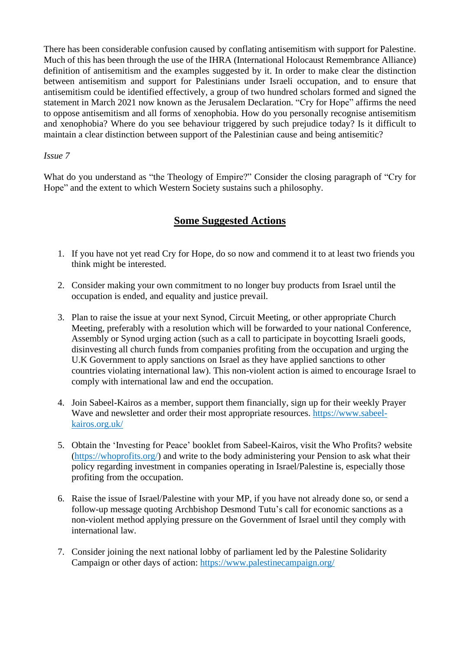There has been considerable confusion caused by conflating antisemitism with support for Palestine. Much of this has been through the use of the IHRA (International Holocaust Remembrance Alliance) definition of antisemitism and the examples suggested by it. In order to make clear the distinction between antisemitism and support for Palestinians under Israeli occupation, and to ensure that antisemitism could be identified effectively, a group of two hundred scholars formed and signed the statement in March 2021 now known as the Jerusalem Declaration. "Cry for Hope" affirms the need to oppose antisemitism and all forms of xenophobia. How do you personally recognise antisemitism and xenophobia? Where do you see behaviour triggered by such prejudice today? Is it difficult to maintain a clear distinction between support of the Palestinian cause and being antisemitic?

#### *Issue 7*

What do you understand as "the Theology of Empire?" Consider the closing paragraph of "Cry for Hope" and the extent to which Western Society sustains such a philosophy.

# **Some Suggested Actions**

- 1. If you have not yet read Cry for Hope, do so now and commend it to at least two friends you think might be interested.
- 2. Consider making your own commitment to no longer buy products from Israel until the occupation is ended, and equality and justice prevail.
- 3. Plan to raise the issue at your next Synod, Circuit Meeting, or other appropriate Church Meeting, preferably with a resolution which will be forwarded to your national Conference, Assembly or Synod urging action (such as a call to participate in boycotting Israeli goods, disinvesting all church funds from companies profiting from the occupation and urging the U.K Government to apply sanctions on Israel as they have applied sanctions to other countries violating international law). This non-violent action is aimed to encourage Israel to comply with international law and end the occupation.
- 4. Join Sabeel-Kairos as a member, support them financially, sign up for their weekly Prayer Wave and newsletter and order their most appropriate resources. [https://www.sabeel](https://www.sabeel-kairos.org.uk/)[kairos.org.uk/](https://www.sabeel-kairos.org.uk/)
- 5. Obtain the 'Investing for Peace' booklet from Sabeel-Kairos, visit the Who Profits? website [\(https://whoprofits.org/\)](https://whoprofits.org/) and write to the body administering your Pension to ask what their policy regarding investment in companies operating in Israel/Palestine is, especially those profiting from the occupation.
- 6. Raise the issue of Israel/Palestine with your MP, if you have not already done so, or send a follow-up message quoting Archbishop Desmond Tutu's call for economic sanctions as a non-violent method applying pressure on the Government of Israel until they comply with international law.
- 7. Consider joining the next national lobby of parliament led by the Palestine Solidarity Campaign or other days of action: <https://www.palestinecampaign.org/>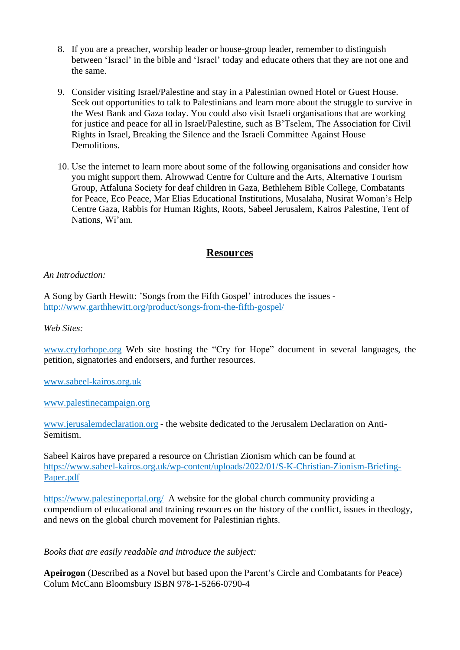- 8. If you are a preacher, worship leader or house-group leader, remember to distinguish between 'Israel' in the bible and 'Israel' today and educate others that they are not one and the same.
- 9. Consider visiting Israel/Palestine and stay in a Palestinian owned Hotel or Guest House. Seek out opportunities to talk to Palestinians and learn more about the struggle to survive in the West Bank and Gaza today. You could also visit Israeli organisations that are working for justice and peace for all in Israel/Palestine, such as B'Tselem, The Association for Civil Rights in Israel, Breaking the Silence and the Israeli Committee Against House Demolitions.
- 10. Use the internet to learn more about some of the following organisations and consider how you might support them. Alrowwad Centre for Culture and the Arts, Alternative Tourism Group, Atfaluna Society for deaf children in Gaza, Bethlehem Bible College, Combatants for Peace, Eco Peace, Mar Elias Educational Institutions, Musalaha, Nusirat Woman's Help Centre Gaza, Rabbis for Human Rights, Roots, Sabeel Jerusalem, Kairos Palestine, Tent of Nations, Wi'am.

### **Resources**

#### *An Introduction:*

A Song by Garth Hewitt: 'Songs from the Fifth Gospel' introduces the issues [http://www.garthhewitt.org/product/songs-from-the-fifth-gospel/](https://emea01.safelinks.protection.outlook.com/?url=http%3A%2F%2Fwww.garthhewitt.org%2Fproduct%2Fsongs-from-the-fifth-gospel%2F&data=04%7C01%7C%7Cf89b3038a2864f451e8508d9d789cb57%7C84df9e7fe9f640afb435aaaaaaaaaaaa%7C1%7C0%7C637777809090249769%7CUnknown%7CTWFpbGZsb3d8eyJWIjoiMC4wLjAwMDAiLCJQIjoiV2luMzIiLCJBTiI6Ik1haWwiLCJXVCI6Mn0%3D%7C3000&sdata=uyOwu5ff9PqXy%2FTwzrvC1pSNEe4OlxE2I8wWQ1UZe%2Bs%3D&reserved=0)

*Web Sites:*

[www.cryforhope.org](http://www.cryforhope.org/) Web site hosting the "Cry for Hope" document in several languages, the petition, signatories and endorsers, and further resources.

[www.sabeel-kairos.org.uk](http://www.sabeel-kairos.org.uk/)

[www.palestinecampaign.org](http://www.palestinecampaign.org/)

[www.jerusalemdeclaration.org](http://www.jerusalemdeclaration.org/) - the website dedicated to the Jerusalem Declaration on Anti-Semitism.

Sabeel Kairos have prepared a resource on Christian Zionism which can be found at [https://www.sabeel-kairos.org.uk/wp-content/uploads/2022/01/S-K-Christian-Zionism-Briefing-](https://emea01.safelinks.protection.outlook.com/?url=https%3A%2F%2Fwww.sabeel-kairos.org.uk%2Fwp-content%2Fuploads%2F2022%2F01%2FS-K-Christian-Zionism-Briefing-Paper.pdf&data=04%7C01%7C%7C90525a1136324b41b9db08d9d813d9a0%7C84df9e7fe9f640afb435aaaaaaaaaaaa%7C1%7C0%7C637778402040064450%7CUnknown%7CTWFpbGZsb3d8eyJWIjoiMC4wLjAwMDAiLCJQIjoiV2luMzIiLCJBTiI6Ik1haWwiLCJXVCI6Mn0%3D%7C3000&sdata=wtC0pLwzWIvYEeht3AHqeHnU8K58WhzIuFbnI4RFKg0%3D&reserved=0)[Paper.pdf](https://emea01.safelinks.protection.outlook.com/?url=https%3A%2F%2Fwww.sabeel-kairos.org.uk%2Fwp-content%2Fuploads%2F2022%2F01%2FS-K-Christian-Zionism-Briefing-Paper.pdf&data=04%7C01%7C%7C90525a1136324b41b9db08d9d813d9a0%7C84df9e7fe9f640afb435aaaaaaaaaaaa%7C1%7C0%7C637778402040064450%7CUnknown%7CTWFpbGZsb3d8eyJWIjoiMC4wLjAwMDAiLCJQIjoiV2luMzIiLCJBTiI6Ik1haWwiLCJXVCI6Mn0%3D%7C3000&sdata=wtC0pLwzWIvYEeht3AHqeHnU8K58WhzIuFbnI4RFKg0%3D&reserved=0)

<https://www.palestineportal.org/> A website for the global church community providing a compendium of educational and training resources on the history of the conflict, issues in theology, and news on the global church movement for Palestinian rights.

*Books that are easily readable and introduce the subject:*

**Apeirogon** (Described as a Novel but based upon the Parent's Circle and Combatants for Peace) Colum McCann Bloomsbury ISBN 978-1-5266-0790-4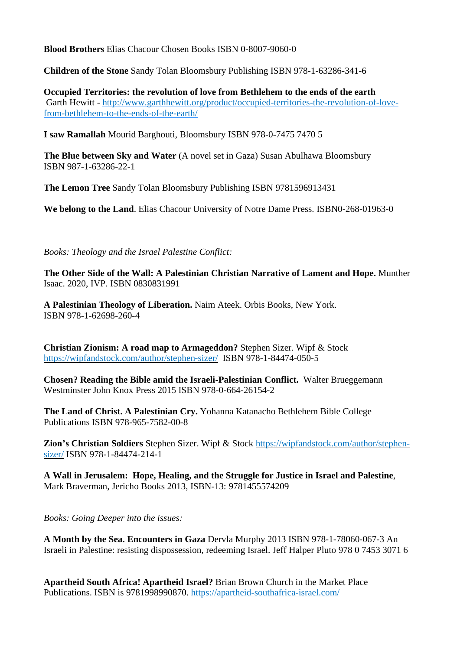**Blood Brothers** Elias Chacour Chosen Books ISBN 0-8007-9060-0

**Children of the Stone** Sandy Tolan Bloomsbury Publishing ISBN 978-1-63286-341-6

**Occupied Territories: the revolution of love from Bethlehem to the ends of the earth** Garth Hewitt - [http://www.garthhewitt.org/product/occupied-territories-the-revolution-of-love](https://emea01.safelinks.protection.outlook.com/?url=http%3A%2F%2Fwww.garthhewitt.org%2Fproduct%2Foccupied-territories-the-revolution-of-love-from-bethlehem-to-the-ends-of-the-earth%2F&data=04%7C01%7C%7Cf89b3038a2864f451e8508d9d789cb57%7C84df9e7fe9f640afb435aaaaaaaaaaaa%7C1%7C0%7C637777809090249769%7CUnknown%7CTWFpbGZsb3d8eyJWIjoiMC4wLjAwMDAiLCJQIjoiV2luMzIiLCJBTiI6Ik1haWwiLCJXVCI6Mn0%3D%7C3000&sdata=s9thoYJX2OaTDJktjDKWQVWxRe1MqhxAxM0BHyXMzQA%3D&reserved=0)[from-bethlehem-to-the-ends-of-the-earth/](https://emea01.safelinks.protection.outlook.com/?url=http%3A%2F%2Fwww.garthhewitt.org%2Fproduct%2Foccupied-territories-the-revolution-of-love-from-bethlehem-to-the-ends-of-the-earth%2F&data=04%7C01%7C%7Cf89b3038a2864f451e8508d9d789cb57%7C84df9e7fe9f640afb435aaaaaaaaaaaa%7C1%7C0%7C637777809090249769%7CUnknown%7CTWFpbGZsb3d8eyJWIjoiMC4wLjAwMDAiLCJQIjoiV2luMzIiLCJBTiI6Ik1haWwiLCJXVCI6Mn0%3D%7C3000&sdata=s9thoYJX2OaTDJktjDKWQVWxRe1MqhxAxM0BHyXMzQA%3D&reserved=0)

**I saw Ramallah** Mourid Barghouti, Bloomsbury ISBN 978-0-7475 7470 5

**The Blue between Sky and Water** (A novel set in Gaza) Susan Abulhawa Bloomsbury ISBN 987-1-63286-22-1

**The Lemon Tree** Sandy Tolan Bloomsbury Publishing ISBN 9781596913431

**We belong to the Land**. Elias Chacour University of Notre Dame Press. ISBN0-268-01963-0

*Books: Theology and the Israel Palestine Conflict:*

**The Other Side of the Wall: A Palestinian Christian Narrative of Lament and Hope.** Munther Isaac. 2020, IVP. ISBN 0830831991

**A Palestinian Theology of Liberation.** Naim Ateek. Orbis Books, New York. ISBN 978-1-62698-260-4

**Christian Zionism: A road map to Armageddon?** Stephen Sizer. Wipf & Stock [https://wipfandstock.com/author/stephen-sizer/](https://emea01.safelinks.protection.outlook.com/?url=https%3A%2F%2Fwipfandstock.com%2Fauthor%2Fstephen-sizer%2F&data=04%7C01%7C%7C75fbc37e656742e7392d08d9d8139d0c%7C84df9e7fe9f640afb435aaaaaaaaaaaa%7C1%7C0%7C637778401060460737%7CUnknown%7CTWFpbGZsb3d8eyJWIjoiMC4wLjAwMDAiLCJQIjoiV2luMzIiLCJBTiI6Ik1haWwiLCJXVCI6Mn0%3D%7C3000&sdata=PVWY%2B8MiMD89MnxD8ioZqcoyk%2Bh3j%2Bg6oRDT7WnKWGc%3D&reserved=0) ISBN 978-1-84474-050-5

**Chosen? Reading the Bible amid the Israeli-Palestinian Conflict.** Walter Brueggemann Westminster John Knox Press 2015 ISBN 978-0-664-26154-2

**The Land of Christ. A Palestinian Cry.** Yohanna Katanacho Bethlehem Bible College Publications ISBN 978-965-7582-00-8

**Zion's Christian Soldiers** Stephen Sizer. Wipf & Stock [https://wipfandstock.com/author/stephen](https://emea01.safelinks.protection.outlook.com/?url=https%3A%2F%2Fwipfandstock.com%2Fauthor%2Fstephen-sizer%2F&data=04%7C01%7C%7C75fbc37e656742e7392d08d9d8139d0c%7C84df9e7fe9f640afb435aaaaaaaaaaaa%7C1%7C0%7C637778401060460737%7CUnknown%7CTWFpbGZsb3d8eyJWIjoiMC4wLjAwMDAiLCJQIjoiV2luMzIiLCJBTiI6Ik1haWwiLCJXVCI6Mn0%3D%7C3000&sdata=PVWY%2B8MiMD89MnxD8ioZqcoyk%2Bh3j%2Bg6oRDT7WnKWGc%3D&reserved=0)[sizer/](https://emea01.safelinks.protection.outlook.com/?url=https%3A%2F%2Fwipfandstock.com%2Fauthor%2Fstephen-sizer%2F&data=04%7C01%7C%7C75fbc37e656742e7392d08d9d8139d0c%7C84df9e7fe9f640afb435aaaaaaaaaaaa%7C1%7C0%7C637778401060460737%7CUnknown%7CTWFpbGZsb3d8eyJWIjoiMC4wLjAwMDAiLCJQIjoiV2luMzIiLCJBTiI6Ik1haWwiLCJXVCI6Mn0%3D%7C3000&sdata=PVWY%2B8MiMD89MnxD8ioZqcoyk%2Bh3j%2Bg6oRDT7WnKWGc%3D&reserved=0) ISBN 978-1-84474-214-1

**A Wall in Jerusalem: Hope, Healing, and the Struggle for Justice in Israel and Palestine**, Mark Braverman, Jericho Books 2013, ISBN-13: 9781455574209

*Books: Going Deeper into the issues:*

**A Month by the Sea. Encounters in Gaza** Dervla Murphy 2013 ISBN 978-1-78060-067-3 An Israeli in Palestine: resisting dispossession, redeeming Israel. Jeff Halper Pluto 978 0 7453 3071 6

**Apartheid South Africa! Apartheid Israel?** Brian Brown Church in the Market Place Publications. ISBN is 9781998990870. <https://apartheid-southafrica-israel.com/>